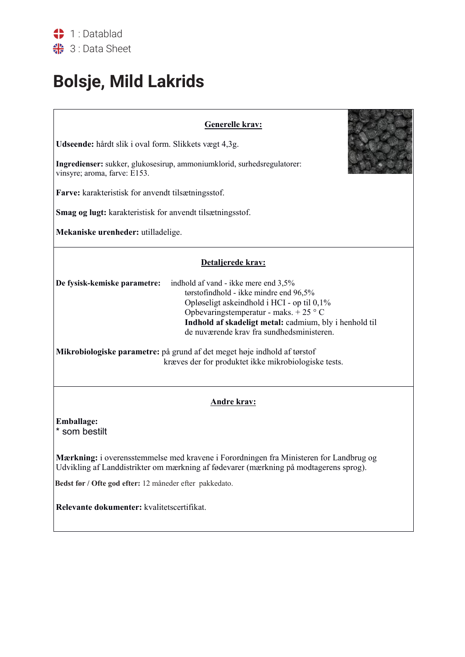## Bolsje, Mild Lakrids

| <b>Generelle krav:</b>                                                                                                                                                                                                                                                                                                                                                                                                                                                         |  |  |  |  |  |
|--------------------------------------------------------------------------------------------------------------------------------------------------------------------------------------------------------------------------------------------------------------------------------------------------------------------------------------------------------------------------------------------------------------------------------------------------------------------------------|--|--|--|--|--|
| Udseende: hårdt slik i oval form. Slikkets vægt 4,3g.                                                                                                                                                                                                                                                                                                                                                                                                                          |  |  |  |  |  |
| Ingredienser: sukker, glukosesirup, ammoniumklorid, surhedsregulatorer:<br>vinsyre; aroma, farve: E153.                                                                                                                                                                                                                                                                                                                                                                        |  |  |  |  |  |
| Farve: karakteristisk for anvendt tilsætningsstof.                                                                                                                                                                                                                                                                                                                                                                                                                             |  |  |  |  |  |
| <b>Smag og lugt:</b> karakteristisk for anvendt tilsætningsstof.                                                                                                                                                                                                                                                                                                                                                                                                               |  |  |  |  |  |
| Mekaniske urenheder: utilladelige.                                                                                                                                                                                                                                                                                                                                                                                                                                             |  |  |  |  |  |
| Detaljerede krav:<br>indhold af vand - ikke mere end 3,5%<br>De fysisk-kemiske parametre:<br>tørstofindhold - ikke mindre end 96,5%<br>Opløseligt askeindhold i HCI - op til 0,1%<br>Opbevaringstemperatur - maks. + 25 $\degree$ C<br>Indhold af skadeligt metal: cadmium, bly i henhold til<br>de nuværende krav fra sundhedsministeren.<br>Mikrobiologiske parametre: på grund af det meget høje indhold af tørstof<br>kræves der for produktet ikke mikrobiologiske tests. |  |  |  |  |  |
| <b>Andre krav:</b>                                                                                                                                                                                                                                                                                                                                                                                                                                                             |  |  |  |  |  |
| Emballage:<br>* som bestilt                                                                                                                                                                                                                                                                                                                                                                                                                                                    |  |  |  |  |  |
| <b>Mærkning:</b> i overensstemmelse med kravene i Forordningen fra Ministeren for Landbrug og<br>Udvikling af Landdistrikter om mærkning af fødevarer (mærkning på modtagerens sprog).                                                                                                                                                                                                                                                                                         |  |  |  |  |  |
| Bedst før / Ofte god efter: 12 måneder efter pakkedato.                                                                                                                                                                                                                                                                                                                                                                                                                        |  |  |  |  |  |
| Relevante dokumenter: kvalitetscertifikat.                                                                                                                                                                                                                                                                                                                                                                                                                                     |  |  |  |  |  |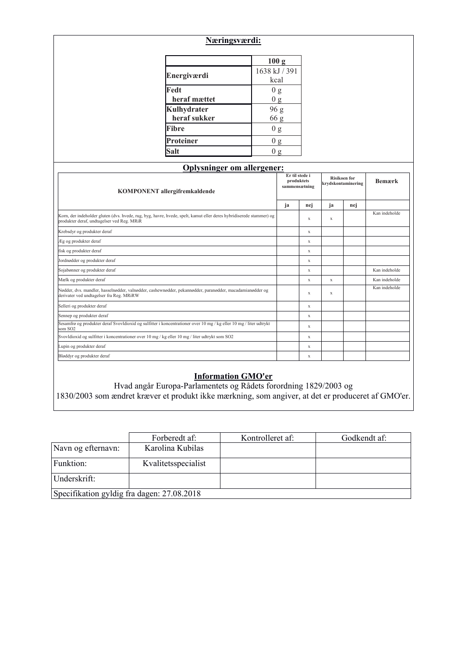|                                                                                                                                                                   | Næringsværdi:                     |                                               |              |                                           |    |               |  |
|-------------------------------------------------------------------------------------------------------------------------------------------------------------------|-----------------------------------|-----------------------------------------------|--------------|-------------------------------------------|----|---------------|--|
|                                                                                                                                                                   |                                   |                                               | 100 g        |                                           |    |               |  |
|                                                                                                                                                                   | Energiværdi                       | 1638 kJ / 391<br>kcal                         |              |                                           |    |               |  |
|                                                                                                                                                                   | Fedt<br>heraf mættet              | 0 g<br>0 g                                    |              |                                           |    |               |  |
|                                                                                                                                                                   | Kulhydrater<br>heraf sukker       | $96\:{\rm g}$<br>66 g                         |              |                                           |    |               |  |
|                                                                                                                                                                   | <b>Fibre</b>                      | $0\ \mathrm{g}$                               |              |                                           |    |               |  |
|                                                                                                                                                                   | Proteiner                         | 0 g                                           |              |                                           |    |               |  |
|                                                                                                                                                                   | <b>Salt</b>                       | 0 <sub>g</sub>                                |              |                                           |    |               |  |
|                                                                                                                                                                   | <b>Oplysninger om allergener:</b> |                                               |              |                                           |    |               |  |
| KOMPONENT allergifremkaldende                                                                                                                                     |                                   | Er til stede i<br>produktets<br>sammensætning |              | <b>Risikoen</b> for<br>krydskontaminering |    | <b>Bemærk</b> |  |
|                                                                                                                                                                   |                                   |                                               | ja           | nej                                       | ja | nej           |  |
| Korn, der indeholder gluten (dvs. hvede, rug, byg, havre, hvede, spelt, kamut eller deres hybridiserede stammer) og<br>produkter deraf, undtagelser ved Reg. MRiR |                                   |                                               | $\mathbf{x}$ | $\mathbf x$                               |    | Kan indeholde |  |
| Krebsdyr og produkter deraf                                                                                                                                       |                                   |                                               |              | $\mathbf x$                               |    |               |  |
| Æg og produkter deraf                                                                                                                                             |                                   |                                               | $\mathbf{x}$ |                                           |    |               |  |
| fisk og produkter deraf                                                                                                                                           |                                   |                                               | $\mathbf x$  |                                           |    |               |  |
| Jordnødder og produkter deraf                                                                                                                                     |                                   |                                               | $\mathbf{x}$ |                                           |    |               |  |
| Sojabønner og produkter deraf                                                                                                                                     |                                   |                                               | x            |                                           |    | Kan indeholde |  |
| Mælk og produkter deraf                                                                                                                                           |                                   |                                               | $\mathbf x$  | $\mathbf X$                               |    | Kan indeholde |  |
| Nødder, dvs. mandler, hasselnødder, valnødder, cashewnødder, pekannødder, paranødder, macadamianødder og<br>derivater ved undtagelser fra Reg. MRiRW              |                                   |                                               | $\mathbf x$  | $\mathbf X$                               |    | Kan indeholde |  |
| Selleri og produkter deraf                                                                                                                                        |                                   |                                               | $\mathbf{x}$ |                                           |    |               |  |

|                                            | Forberedt af:       | Kontrolleret af: | Godkendt af: |  |  |  |
|--------------------------------------------|---------------------|------------------|--------------|--|--|--|
| Navn og efternavn:                         | Karolina Kubilas    |                  |              |  |  |  |
| Funktion:                                  | Kvalitetsspecialist |                  |              |  |  |  |
| Underskrift:                               |                     |                  |              |  |  |  |
| Specifikation gyldig fra dagen: 27.08.2018 |                     |                  |              |  |  |  |

**Information GMO'er** Hvad angår Europa-Parlamentets og Rådets forordning 1829/2003 og 1830/2003 som ændret kræver et produkt ikke mærkning, som angiver, at det er produceret af GMO'er.

Sennep og produkter deraf x Sesamfrø og produkter deraf Svovldioxid og sulfitter i koncentrationer over 10 mg / kg eller 10 mg / liter udtrykt<br>som SO2 Svovldioxid og sulfitter i koncentrationer over 10 mg / kg eller 10 mg / liter udtrykt som SO2 x Lupin og produkter deraf x Bløddyr og produkter deraf xenter af andre større stofne af andre større større større større større større stø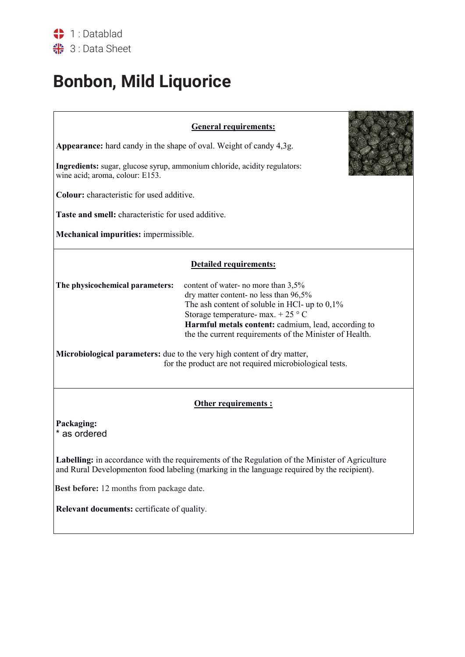## **Bonbon, Mild Liquorice**

| <b>General requirements:</b>                                                                                                                                                                                                                                                                                                                                                                                                                                        |  |  |  |  |  |
|---------------------------------------------------------------------------------------------------------------------------------------------------------------------------------------------------------------------------------------------------------------------------------------------------------------------------------------------------------------------------------------------------------------------------------------------------------------------|--|--|--|--|--|
| Appearance: hard candy in the shape of oval. Weight of candy 4,3g.                                                                                                                                                                                                                                                                                                                                                                                                  |  |  |  |  |  |
| Ingredients: sugar, glucose syrup, ammonium chloride, acidity regulators:<br>wine acid; aroma, colour: E153.                                                                                                                                                                                                                                                                                                                                                        |  |  |  |  |  |
| Colour: characteristic for used additive.                                                                                                                                                                                                                                                                                                                                                                                                                           |  |  |  |  |  |
| Taste and smell: characteristic for used additive.                                                                                                                                                                                                                                                                                                                                                                                                                  |  |  |  |  |  |
| Mechanical impurities: impermissible.                                                                                                                                                                                                                                                                                                                                                                                                                               |  |  |  |  |  |
| <b>Detailed requirements:</b>                                                                                                                                                                                                                                                                                                                                                                                                                                       |  |  |  |  |  |
| The physicochemical parameters:<br>content of water- no more than 3,5%<br>dry matter content- no less than 96,5%<br>The ash content of soluble in HCl- up to $0,1\%$<br>Storage temperature- max. $+25$ ° C<br>Harmful metals content: cadmium, lead, according to<br>the the current requirements of the Minister of Health.<br>Microbiological parameters: due to the very high content of dry matter,<br>for the product are not required microbiological tests. |  |  |  |  |  |
| Other requirements :                                                                                                                                                                                                                                                                                                                                                                                                                                                |  |  |  |  |  |
| Packaging:<br>* as ordered                                                                                                                                                                                                                                                                                                                                                                                                                                          |  |  |  |  |  |
| Labelling: in accordance with the requirements of the Regulation of the Minister of Agriculture<br>and Rural Developmenton food labeling (marking in the language required by the recipient).                                                                                                                                                                                                                                                                       |  |  |  |  |  |
| Best before: 12 months from package date.                                                                                                                                                                                                                                                                                                                                                                                                                           |  |  |  |  |  |
| Relevant documents: certificate of quality.                                                                                                                                                                                                                                                                                                                                                                                                                         |  |  |  |  |  |
|                                                                                                                                                                                                                                                                                                                                                                                                                                                                     |  |  |  |  |  |